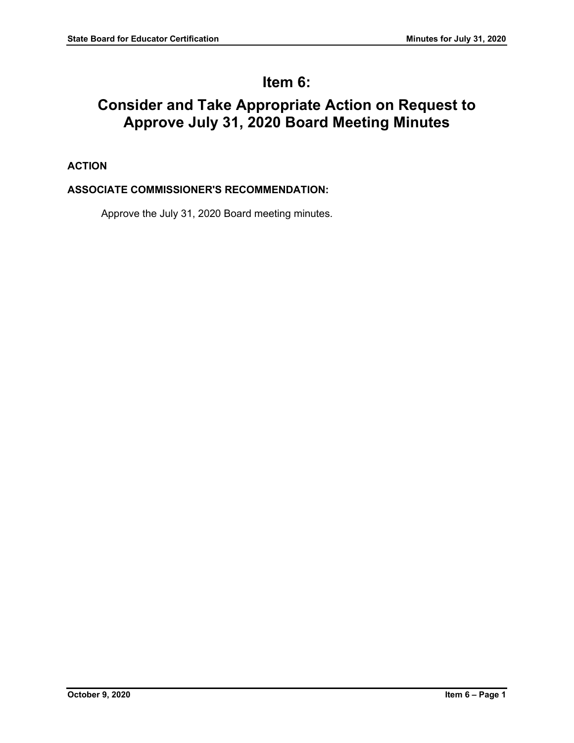# **Item 6:**

# **Consider and Take Appropriate Action on Request to Approve July 31, 2020 Board Meeting Minutes**

# **ACTION**

## **ASSOCIATE COMMISSIONER'S RECOMMENDATION:**

Approve the July 31, 2020 Board meeting minutes.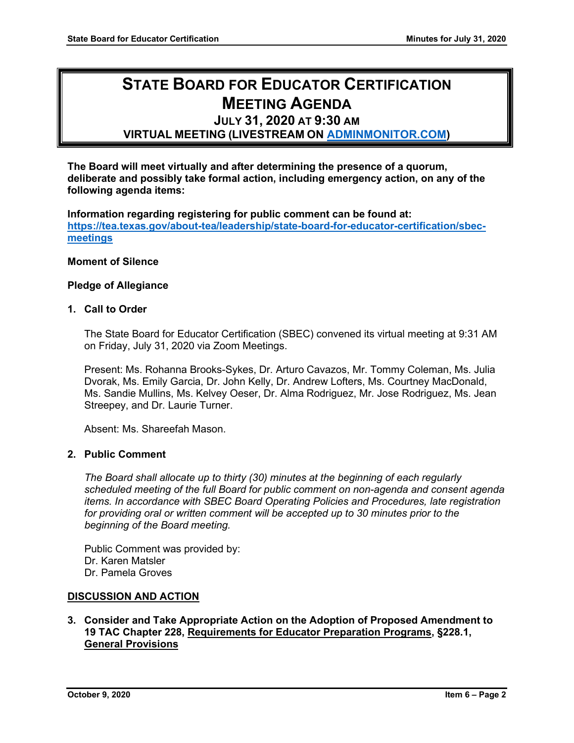# **STATE BOARD FOR EDUCATOR CERTIFICATION MEETING AGENDA**

# **JULY 31, 2020 AT 9:30 AM**

## **VIRTUAL MEETING (LIVESTREAM ON [ADMINMONITOR.COM\)](http://www.adminmonitor.com/tx/tea/)**

**The Board will meet virtually and after determining the presence of a quorum, deliberate and possibly take formal action, including emergency action, on any of the following agenda items:**

**Information regarding registering for public comment can be found at: [https://tea.texas.gov/about-tea/leadership/state-board-for-educator-certification/sbec](https://nam10.safelinks.protection.outlook.com/?url=https%3A%2F%2Ftea.texas.gov%2Fabout-tea%2Fleadership%2Fstate-board-for-educator-certification%2Fsbec-meetings&data=02%7C01%7CKatelin.Allen%40tea.texas.gov%7C33f09bed51314321053e08d7e6d36cb5%7C65d6b3c3723648189613248dbd713a6f%7C0%7C0%7C637231668044732631&sdata=p8LIEPR4IIZEJnEdirrTXTHGHIbtX2MWtvumJv7Tzho%3D&reserved=0)[meetings](https://nam10.safelinks.protection.outlook.com/?url=https%3A%2F%2Ftea.texas.gov%2Fabout-tea%2Fleadership%2Fstate-board-for-educator-certification%2Fsbec-meetings&data=02%7C01%7CKatelin.Allen%40tea.texas.gov%7C33f09bed51314321053e08d7e6d36cb5%7C65d6b3c3723648189613248dbd713a6f%7C0%7C0%7C637231668044732631&sdata=p8LIEPR4IIZEJnEdirrTXTHGHIbtX2MWtvumJv7Tzho%3D&reserved=0)**

#### **Moment of Silence**

#### **Pledge of Allegiance**

#### **1. Call to Order**

The State Board for Educator Certification (SBEC) convened its virtual meeting at 9:31 AM on Friday, July 31, 2020 via Zoom Meetings.

Present: Ms. Rohanna Brooks-Sykes, Dr. Arturo Cavazos, Mr. Tommy Coleman, Ms. Julia Dvorak, Ms. Emily Garcia, Dr. John Kelly, Dr. Andrew Lofters, Ms. Courtney MacDonald, Ms. Sandie Mullins, Ms. Kelvey Oeser, Dr. Alma Rodriguez, Mr. Jose Rodriguez, Ms. Jean Streepey, and Dr. Laurie Turner.

Absent: Ms. Shareefah Mason.

## **2. Public Comment**

*The Board shall allocate up to thirty (30) minutes at the beginning of each regularly scheduled meeting of the full Board for public comment on non-agenda and consent agenda items. In accordance with SBEC Board Operating Policies and Procedures, late registration for providing oral or written comment will be accepted up to 30 minutes prior to the beginning of the Board meeting.*

Public Comment was provided by: Dr. Karen Matsler Dr. Pamela Groves

### **DISCUSSION AND ACTION**

## **3. Consider and Take Appropriate Action on the Adoption of Proposed Amendment to 19 TAC Chapter 228, Requirements for Educator Preparation Programs, §228.1, General Provisions**